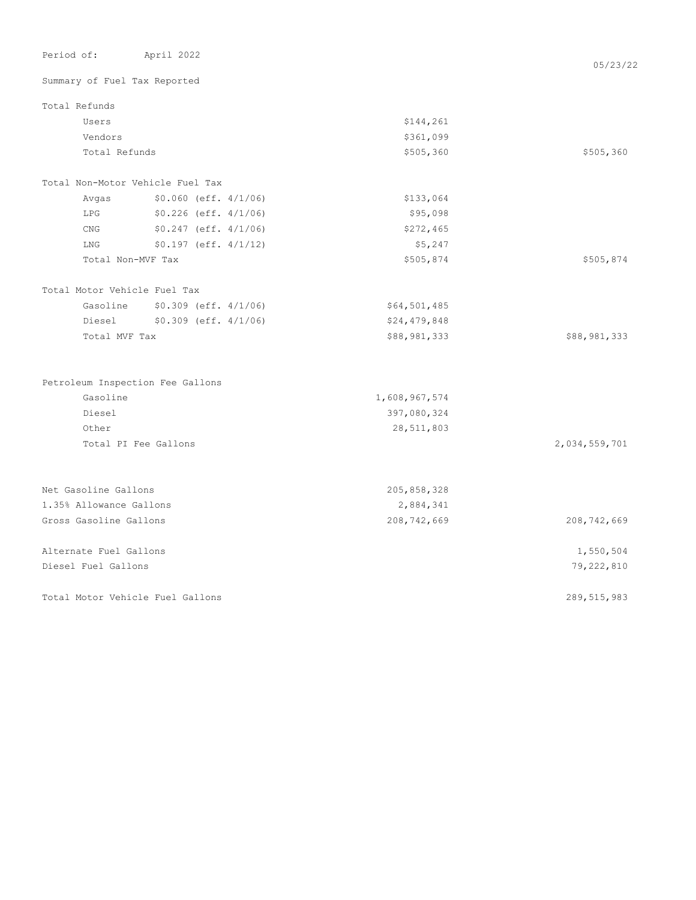| Period of:                       | April 2022                     |               | 05/23/22      |
|----------------------------------|--------------------------------|---------------|---------------|
| Summary of Fuel Tax Reported     |                                |               |               |
| Total Refunds                    |                                |               |               |
| Users                            |                                | \$144,261     |               |
| Vendors                          |                                | \$361,099     |               |
| Total Refunds                    |                                | \$505,360     | \$505,360     |
| Total Non-Motor Vehicle Fuel Tax |                                |               |               |
| Avgas                            | $$0.060$ (eff. $4/1/06$ )      | \$133,064     |               |
| <b>LPG</b>                       | $$0.226$ (eff. $4/1/06$ )      | \$95,098      |               |
| CNG                              | $$0.247$ (eff. $4/1/06$ )      | \$272,465     |               |
| LNG                              | $$0.197$ (eff. $4/1/12$ )      | \$5,247       |               |
| Total Non-MVF Tax                |                                | \$505,874     | \$505,874     |
| Total Motor Vehicle Fuel Tax     |                                |               |               |
|                                  | Gasoline \$0.309 (eff. 4/1/06) | \$64,501,485  |               |
| Diesel                           | $$0.309$ (eff. $4/1/06$ )      | \$24,479,848  |               |
| Total MVF Tax                    |                                | \$88,981,333  | \$88,981,333  |
| Petroleum Inspection Fee Gallons |                                |               |               |
| Gasoline                         |                                | 1,608,967,574 |               |
| Diesel                           |                                | 397,080,324   |               |
| Other                            |                                | 28,511,803    |               |
|                                  | Total PI Fee Gallons           |               | 2,034,559,701 |
|                                  |                                |               |               |
| Net Gasoline Gallons             |                                | 205,858,328   |               |
| 1.35% Allowance Gallons          |                                | 2,884,341     |               |
| Gross Gasoline Gallons           |                                | 208,742,669   | 208,742,669   |
| Alternate Fuel Gallons           |                                |               | 1,550,504     |
| Diesel Fuel Gallons              |                                |               | 79,222,810    |
| Total Motor Vehicle Fuel Gallons |                                |               | 289,515,983   |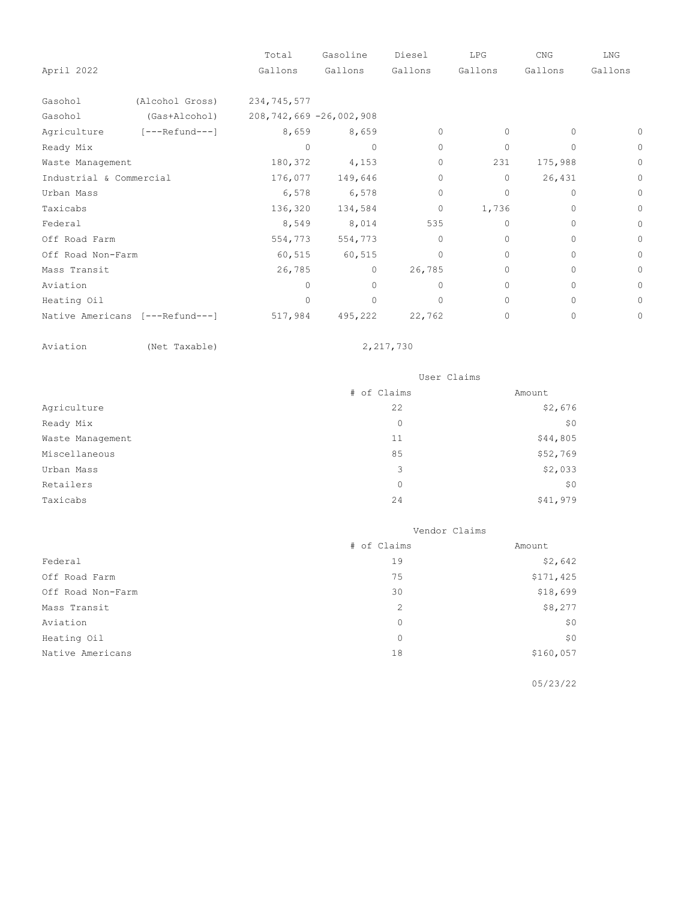|                         |                                 | Total                        | Gasoline | Diesel    | LPG      | CNG      | LNG     |
|-------------------------|---------------------------------|------------------------------|----------|-----------|----------|----------|---------|
| April 2022              |                                 | Gallons                      | Gallons  | Gallons   | Gallons  | Gallons  | Gallons |
| Gasohol                 | (Alcohol Gross)                 | 234,745,577                  |          |           |          |          |         |
| Gasohol                 | (Gas+Alcohol)                   | 208, 742, 669 - 26, 002, 908 |          |           |          |          |         |
| Agriculture             | [---Refund---]                  | 8,659                        | 8,659    | $\Omega$  | 0        | $\Omega$ | 0       |
| Ready Mix               |                                 | $\Omega$                     | $\circ$  | $\circ$   | $\Omega$ | 0        | $\circ$ |
| Waste Management        |                                 | 180,372                      | 4,153    | $\Omega$  | 231      | 175,988  | $\circ$ |
| Industrial & Commercial |                                 | 176,077                      | 149,646  | $\Omega$  | 0        | 26,431   | 0       |
| Urban Mass              |                                 | 6,578                        | 6,578    | $\circ$   | 0        | 0        | $\circ$ |
| Taxicabs                |                                 | 136,320                      | 134,584  | $\circ$   | 1,736    | $\Omega$ | 0       |
| Federal                 |                                 | 8,549                        | 8,014    | 535       | $\Omega$ | 0        | $\circ$ |
| Off Road Farm           |                                 | 554,773                      | 554,773  | $\Omega$  | $\Omega$ | $\circ$  | 0       |
| Off Road Non-Farm       |                                 | 60,515                       | 60,515   | $\Omega$  | $\Omega$ | $\Omega$ | 0       |
| Mass Transit            |                                 | 26,785                       | $\circ$  | 26,785    | $\Omega$ | $\Omega$ | 0       |
| Aviation                |                                 | <sup>0</sup>                 | $\Omega$ | $\bigcap$ | $\Omega$ | $\Omega$ | 0       |
| Heating Oil             |                                 | $\Omega$                     | $\Omega$ | $\Omega$  | $\Omega$ | $\Omega$ | 0       |
|                         | Native Americans [---Refund---] | 517,984                      | 495,222  | 22,762    | 0        | 0        | 0       |

Aviation (Net Taxable)

2,217,730

|                  | User Claims |          |
|------------------|-------------|----------|
|                  | # of Claims | Amount   |
| Agriculture      | 22          | \$2,676  |
| Ready Mix        | 0           | \$0      |
| Waste Management | 11          | \$44,805 |
| Miscellaneous    | 85          | \$52,769 |
| Urban Mass       | 3           | \$2,033  |
| Retailers        | $\circ$     | \$0      |
| Taxicabs         | 24          | \$41,979 |

|                   | Vendor Claims |           |  |
|-------------------|---------------|-----------|--|
|                   | # of Claims   | Amount    |  |
| Federal           | 19            | \$2,642   |  |
| Off Road Farm     | 75            | \$171,425 |  |
| Off Road Non-Farm | 30            | \$18,699  |  |
| Mass Transit      | 2             | \$8,277   |  |
| Aviation          | $\mathbf{0}$  | \$0       |  |
| Heating Oil       | $\circ$       | \$0       |  |
| Native Americans  | 18            | \$160,057 |  |

05/23/22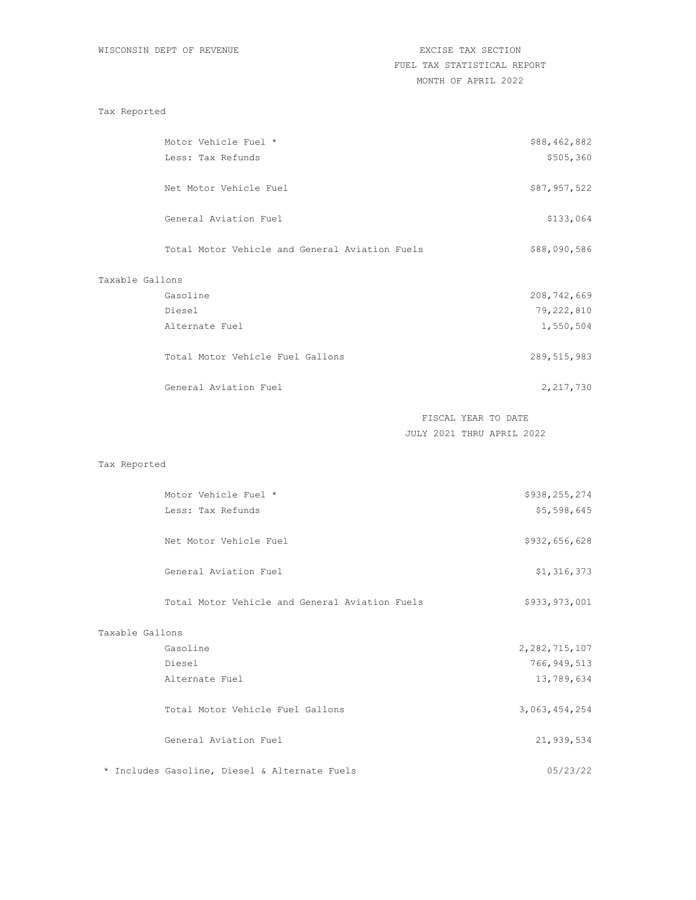### Tax Reported

|                 | Motor Vehicle Fuel *                           | \$88,462,882  |
|-----------------|------------------------------------------------|---------------|
|                 | Less: Tax Refunds                              | \$505,360     |
|                 | Net Motor Vehicle Fuel                         | \$87,957,522  |
|                 | General Aviation Fuel                          | \$133,064     |
|                 | Total Motor Vehicle and General Aviation Fuels | \$88,090,586  |
| Taxable Gallons |                                                |               |
|                 | Gasoline                                       | 208,742,669   |
|                 | Diesel                                         | 79,222,810    |
|                 | Alternate Fuel                                 | 1,550,504     |
|                 | Total Motor Vehicle Fuel Gallons               | 289, 515, 983 |
|                 | General Aviation Fuel                          | 2,217,730     |

FISCAL YEAR TO DATE JULY 2021 THRU APRIL 2022

## Tax Reported

|                 | Motor Vehicle Fuel *                           | \$938,255,274    |
|-----------------|------------------------------------------------|------------------|
|                 | Less: Tax Refunds                              | \$5,598,645      |
|                 | Net Motor Vehicle Fuel                         | \$932,656,628    |
|                 | General Aviation Fuel                          | \$1,316,373      |
|                 | Total Motor Vehicle and General Aviation Fuels | \$933,973,001    |
| Taxable Gallons |                                                |                  |
|                 | Gasoline                                       | 2, 282, 715, 107 |
|                 | Diesel                                         | 766, 949, 513    |
|                 | Alternate Fuel                                 | 13,789,634       |
|                 | Total Motor Vehicle Fuel Gallons               | 3,063,454,254    |
|                 | General Aviation Fuel                          | 21,939,534       |
|                 | * Includes Gasoline, Diesel & Alternate Fuels  | 05/23/22         |